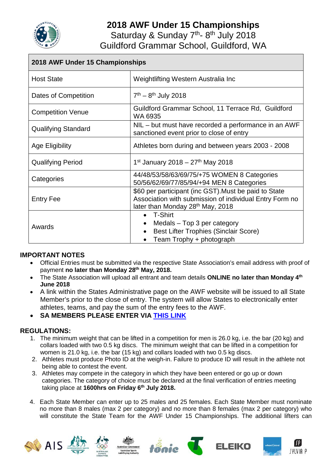

# **2018 AWF Under 15 Championships**

Saturday & Sunday 7<sup>th</sup>-8<sup>th</sup> July 2018

Guildford Grammar School, Guildford, WA

| 2018 AWF Under 15 Championships |                                                                                                                                                      |
|---------------------------------|------------------------------------------------------------------------------------------------------------------------------------------------------|
| <b>Host State</b>               | Weightlifting Western Australia Inc                                                                                                                  |
| Dates of Competition            | $7th - 8th$ July 2018                                                                                                                                |
| <b>Competition Venue</b>        | Guildford Grammar School, 11 Terrace Rd, Guildford<br>WA 6935                                                                                        |
| <b>Qualifying Standard</b>      | NIL – but must have recorded a performance in an AWF<br>sanctioned event prior to close of entry                                                     |
| Age Eligibility                 | Athletes born during and between years 2003 - 2008                                                                                                   |
| <b>Qualifying Period</b>        | 1 <sup>st</sup> January 2018 – 27 <sup>th</sup> May 2018                                                                                             |
| Categories                      | 44/48/53/58/63/69/75/+75 WOMEN 8 Categories<br>50/56/62/69/77/85/94/+94 MEN 8 Categories                                                             |
| <b>Entry Fee</b>                | \$60 per participant (inc GST). Must be paid to State<br>Association with submission of individual Entry Form no<br>later than Monday 28th May, 2018 |
| Awards                          | • T-Shirt<br>Medals – Top 3 per category<br>$\bullet$<br><b>Best Lifter Trophies (Sinclair Score)</b><br>Team Trophy + photograph                    |

#### **IMPORTANT NOTES**

- Official Entries must be submitted via the respective State Association's email address with proof of payment **no later than Monday 28th May, 2018.**
- The State Association will upload all entrant and team details **ONLINE no later than Monday 4th June 2018**
- A link within the States Administrative page on the AWF website will be issued to all State Member's prior to the close of entry. The system will allow States to electronically enter athletes, teams, and pay the sum of the entry fees to the AWF.
- **SA MEMBERS PLEASE ENTER VIA [THIS LINK](https://www.cognitoforms.com/SouthAustralianWeightliftingAssociation/AustralianChampionshipsEntryForm)**

#### **REGULATIONS:**

- 1. The minimum weight that can be lifted in a competition for men is 26.0 kg, i.e. the bar (20 kg) and collars loaded with two 0.5 kg discs. The minimum weight that can be lifted in a competition for women is 21.0 kg, i.e. the bar (15 kg) and collars loaded with two 0.5 kg discs.
- 2. Athletes must produce Photo ID at the weigh-in. Failure to produce ID will result in the athlete not being able to contest the event.
- 3. Athletes may compete in the category in which they have been entered or go up or down categories. The category of choice must be declared at the final verification of entries meeting taking place at **1600hrs on Friday 6th July 2018.**
- 4. Each State Member can enter up to 25 males and 25 females. Each State Member must nominate no more than 8 males (max 2 per category) and no more than 8 females (max 2 per category) who will constitute the State Team for the AWF Under 15 Championships. The additional lifters can

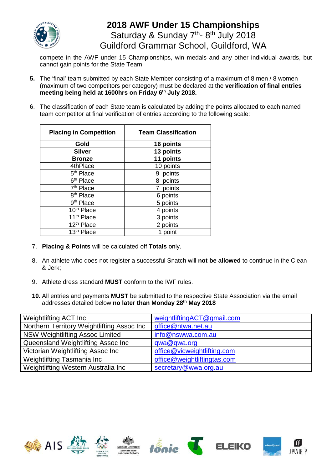

### **2018 AWF Under 15 Championships** Saturday & Sunday 7<sup>th</sup>-8<sup>th</sup> July 2018 Guildford Grammar School, Guildford, WA

compete in the AWF under 15 Championships, win medals and any other individual awards, but cannot gain points for the State Team.

- **5.** The 'final' team submitted by each State Member consisting of a maximum of 8 men / 8 women (maximum of two competitors per category) must be declared at the **verification of final entries meeting being held at 1600hrs on Friday 6th July 2018.**
- 6. The classification of each State team is calculated by adding the points allocated to each named team competitor at final verification of entries according to the following scale:

| <b>Placing in Competition</b> | <b>Team Classification</b> |
|-------------------------------|----------------------------|
| Gold                          | 16 points                  |
| <b>Silver</b>                 | 13 points                  |
| <b>Bronze</b>                 | 11 points                  |
| 4thPlace                      | 10 points                  |
| 5 <sup>th</sup> Place         | points<br>9                |
| 6 <sup>th</sup> Place         | 8<br>points                |
| 7 <sup>th</sup> Place         | points                     |
| 8 <sup>th</sup> Place         | 6 points                   |
| 9 <sup>th</sup> Place         | 5 points                   |
| 10 <sup>th</sup> Place        | 4 points                   |
| 11 <sup>th</sup> Place        | 3 points                   |
| 12 <sup>th</sup> Place        | 2 points                   |
| 13 <sup>th</sup> Place        | 1 point                    |

- 7. **Placing & Points** will be calculated off **Totals** only.
- 8. An athlete who does not register a successful Snatch will **not be allowed** to continue in the Clean & Jerk;
- 9. Athlete dress standard **MUST** conform to the IWF rules.
- **10.** All entries and payments **MUST** be submitted to the respective State Association via the email addresses detailed below **no later than Monday 28th May 2018**

| Weightlifting ACT Inc                      | weightliftingACT@gmail.com  |
|--------------------------------------------|-----------------------------|
| Northern Territory Weightlifting Assoc Inc | office@ntwa.net.au          |
| <b>NSW Weightlifting Assoc Limited</b>     | info@nswwa.com.au           |
| Queensland Weightlifting Assoc Inc         | qwa@qwa.org                 |
| Victorian Weightlifting Assoc Inc          | office@vicweightlifting.com |
| Weightlifting Tasmania Inc                 | office@weightliftingtas.com |
| Weightlifting Western Australia Inc        | secretary@wwa.org.au        |